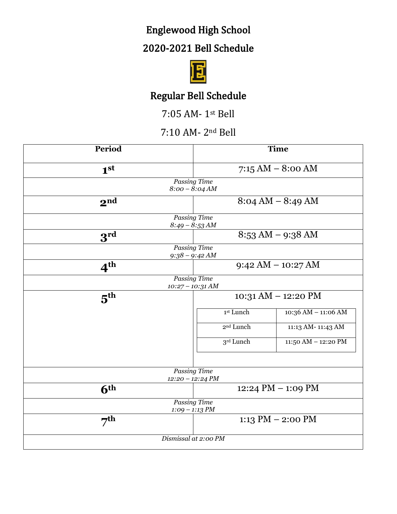# Englewood High School

## 2020-2021 Bell Schedule



## Regular Bell Schedule

7:05 AM- 1st Bell

#### 7:10 AM- 2nd Bell

| Period          | <b>Time</b>                         |                     |  |
|-----------------|-------------------------------------|---------------------|--|
| 1 <sup>st</sup> | $7:15 AM - 8:00 AM$                 |                     |  |
|                 | Passing Time<br>$8:00 - 8:04 AM$    |                     |  |
| 2 <sup>nd</sup> | $8:04 AM - 8:49 AM$                 |                     |  |
|                 | Passing Time                        |                     |  |
|                 | $8:49 - 8:53 AM$                    |                     |  |
| 3 <sup>rd</sup> | $8:53 \text{ AM} - 9:38 \text{ AM}$ |                     |  |
|                 | <b>Passing Time</b>                 |                     |  |
|                 | $9:38 - 9:42 AM$                    |                     |  |
| 4 <sup>th</sup> | $9:42 AM - 10:27 AM$                |                     |  |
|                 | Passing Time                        |                     |  |
|                 | $10:27 - 10:31 AM$                  |                     |  |
| $5^{\text{th}}$ | 10:31 AM - 12:20 PM                 |                     |  |
|                 | 1st Lunch                           | 10:36 AM - 11:06 AM |  |
|                 | 2 <sup>nd</sup> Lunch               | 11:13 AM-11:43 AM   |  |
|                 | 3rd Lunch                           | 11:50 AM - 12:20 PM |  |
|                 |                                     |                     |  |
|                 | <b>Passing Time</b>                 |                     |  |
|                 | $12:20 - 12:24 PM$                  |                     |  |
| 6 <sup>th</sup> | 12:24 PM $-$ 1:09 PM                |                     |  |
|                 | <b>Passing Time</b>                 |                     |  |
|                 | $1:09 - 1:13 PM$                    |                     |  |
| $7^{th}$        |                                     | 1:13 PM $-$ 2:00 PM |  |
|                 | Dismissal at 2:00 PM                |                     |  |